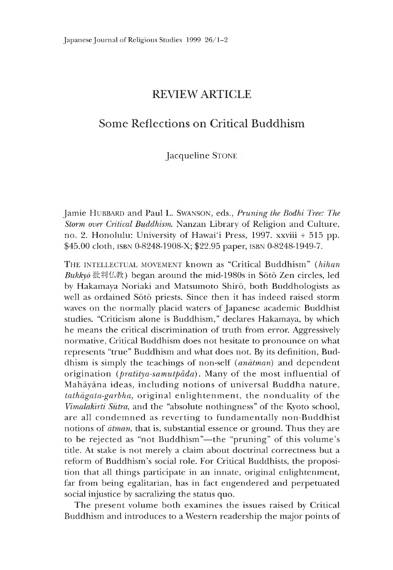# **REVIEW ARTICLE**

# **Some Reflections on Critical Buddhism**

# Jacqueline STONE

Jamie HUBBARD and Paul L. SWANSON, eds., *Pruning the Bodhi Tree: The Storm over Critical Buddhism.* Nanzan Library of Religion and Culture, no. 2. Honolulu: University of Hawai'i Press, 1997. xxviii + 515 pp. \$45.00 cloth, isbn 0-8248-1908-X; \$22.95 paper, isbn 0-8248-1949-7.

The intellectual movement known as "Critical Buddhism" *(hihan* **Bukkyo 批判仏教**) began around the mid-1980s in Soto Zen circles, led by Hakamaya Noriaki and Matsumoto Shiro, both Buddholoeists as well as ordained Sōtō priests. Since then it has indeed raised storm waves on the normally placid waters of Japanese academic Buddhist studies. "Criticism alone is Buddhism," declares Hakamaya, by which he means the critical discrimination of truth from error. Aggressively normative, Critical Buddhism does not hesitate to pronounce on what represents "true" Buddnism and what does not. By its definition, Buddhism is simply the teachings of non-self *(anatman)* and dependent origination *(pratitya-samutpdda).* Many of the most influential of Mahayana ideas, including notions of universal Buddha nature, *tathagata-garbha,* original enlightenment, the nonduality of the *Vimalakirti Sutra,* and the "absolute nothingness" of the Kyoto school, are all condemned as reverting to fundamentally non-Buddhist notions of *ātman*, that is, substantial essence or ground. Thus they are to be rejected as "not Buddhism"—the "pruning" of this volume's title. At stake is not merely a claim about doctrinal correctness but a reform of Buddhism's social role. For Critical Buddhists, the proposition that all things participate in an innate, original enlightenment, far from being egalitarian, has in fact engendered and perpetuated social injustice by sacralizing the status quo.

The present volume both examines the issues raised by Critical Buddhism and introduces to a Western readership the major points of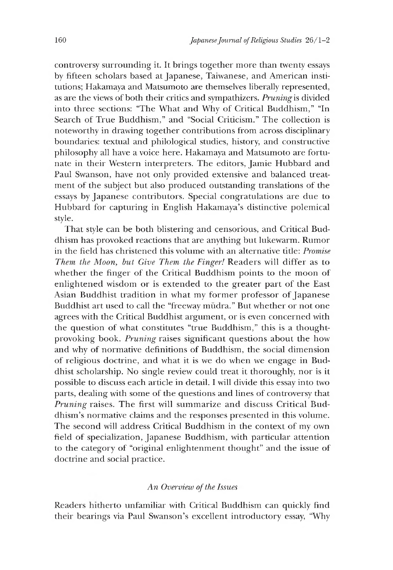controversy surrounding it. It brings together more than twenty essays by fifteen scholars based at Japanese, Taiwanese, and American institutions; Hakamaya and Matsumoto are themselves liberally represented, as are the views of both their critics and sympathizers. *Pruning* is divided into three sections: "The What and Why of Critical Buddhism," "In Search of True Buddhism," and "Social Criticism." The collection is noteworthy in drawing together contributions from across disciplinary boundaries: textual and philological studies, history, and constructive philosophy all have a voice here. Hakamaya and Matsumoto are fortunate in their Western interpreters. The editors, Jamie Hubbard and Paul Swanson, have not only provided extensive and balanced treatment of the subject but also produced outstanding translations of the essays by Japanese contributors. Special congratulations are due to Hubbard for capturing in English Hakamaya's distinctive polemical style.

That style can be both blistering and censorious, and Critical Buddhism has provoked reactions that are anything but lukewarm. Rumor in the field has christened this volume with an alternative title: *Promise Them the Moon, but Give Them the Finger!* Readers will differ as to whether the finger of the Critical Buddhism points to the moon of enlightened wisdom or is extended to the greater part of the East Asian Buddhist tradition in what my former professor of Japanese Buddhist art used to call the "freeway mudra." But whether or not one agrees with the Critical Buddhist argument, or is even concerned with the question of what constitutes "true Buddhism," this is a thoughtprovoking book. *Pruning* raises significant questions about the how and why of normative definitions of Buddhism, the social dimension of religious doctrine, and what it is we do when we engage in Buddhist scholarship. No single review could treat it thoroughly, nor is it possible to discuss each article in detail.I will divide this essay into two parts, dealing with some of the questions and lines of controversy that *Pruning* raises. The first will summarize and discuss Critical Buddhism's normative claims and the responses presented in this volume. The second will address Critical Buddhism in the context of my own field of specialization, Japanese Buddhism, with particular attention to the category of "original enlightenment thought" and the issue of doctrine and social practice.

## *An Overview of the Issues*

Readers hitherto unfamiliar with Critical Buddhism can quickly find their bearings via Paul Swanson's excellent introductory essay, "Why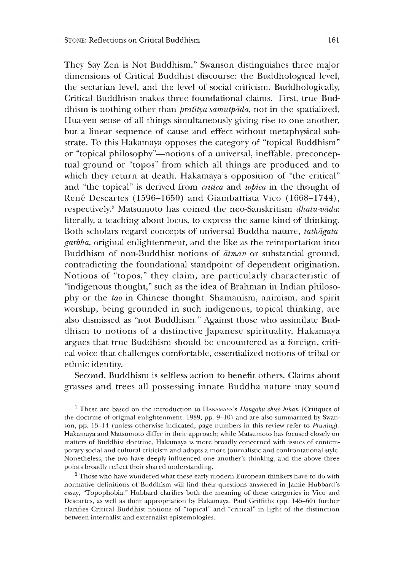They Say Zen is Not Buddhism." Swanson distinguishes three major dimensions of Critical Buddhist discourse: the Buddhological level, the sectarian level, and the level of social criticism. Buddhologically, Critical Buddhism makes three foundational claims.<sup>1</sup> First, true Buddhism is nothing other than *pratitya-samutpada,* not in the spatialized, Hua-yen sense of all things simultaneously giving rise to one another, but a linear sequence of cause and effect without metaphysical substrate. To this Hakamaya opposes the category of "topical Buddhism" or "topical philosophy"—notions of a universal, ineffable, preconceptual ground or "topos" from which all things are produced and to which they return at death. Hakamaya's opposition of "the critical" and "the topical" is derived from *critica* and *topica* in the thought of René Descartes (1596–1650) and Giambattista Vico (1668–1744), respectively.2 Matsumoto has coined the neo-Sanskritism *dhdtu-vada:* literally, a teaching about locus, to express the same kind of thinking. Both scholars regard concepts of universal Buddha nature, *tathagatagarbha,* original enlightenment, and the like as the reimportation into Buddhism of non-Buddhist notions of *dtman* or substantial ground, contradicting the foundational standpoint of dependent origination. Notions of "topos," they claim, are particularly characteristic of "indigenous thought," such as the idea of Brahman in Indian philosophy or the *tao* in Chinese thought. Shamanism, animism, and spirit worship, being grounded in such indigenous, topical thinking, are also dismissed as "not Buddhism." Against those who assimilate Buddhism to notions of a distinctive Japanese spirituality, Hakamaya argues that true Buddhism should be encountered as a foreign, critical voice that challenges comfortable, essentialized notions of tribal or ethnic identity.

Second, Buddhism is selfless action to benefit others. Claims about grasses and trees all possessing innate Buddha nature may sound

**1** These **are** based **on the introduction to Hakamaya's** *Hongaku shiso hihan* (Critiques **of** the doctrine of original enlightenment, 1989, pp. 9-10) and are also summarized by Swanson, pp. 13-14 (unless otherwise indicated, page numbers in this review refer to *Pruning).* Hakamaya and Matsumoto differ in their approach; while Matsumoto has focused closely on matters of Buddhist doctrine, Hakamaya is more broadly concerned with issues of contemporary social and cultural criticism and adopts a more journalistic and confrontational style. Nonetheless, the two have deeply influenced one another's thinking, and the above three points broadly reflect their shared understanding.

<sup>2</sup> Those who have wondered what these early modern European thinkers have to do with normative definitions of Buddhism will find their questions answered in Jamie Hubbard's essay, "Topophobia." Hubbard clarifies both the meaning of these categories in Vico and Descartes, as well as their appropriation by Hakamaya. Paul Griffiths (pp. 145-60) further clarifies Critical Buddhist notions of "topical" and "critical" in light of the distinction between internalist and externalist epistemologies.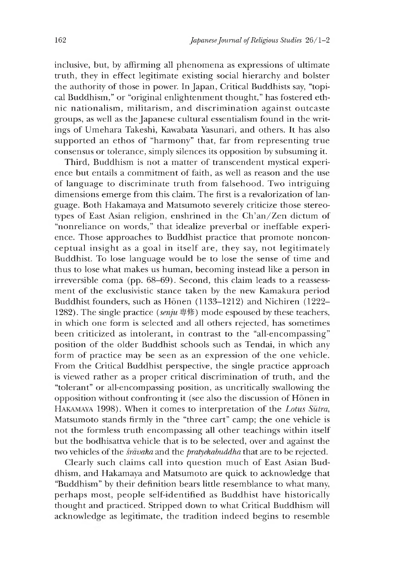inclusive, but, by affirming all phenomena as expressions of ultimate truth, they in effect legitimate existing social hierarchy and bolster the authority of those in power. In Japan, Critical Buddhists say, "topical Buddhism," or "original enlightenment thought," has fostered ethnic nationalism, militarism, and discrimination against outcaste groups, as well as the Japanese cultural essentialism found in the writings of Umehara Takeshi, Kawabata Yasunari, and others. It has also supported an ethos of "harmony" that, far from representing true consensus or tolerance, simply silences its opposition by subsuming it.

Third, Buddhism is not a matter of transcendent mystical experience but entails a commitment of faith, as well as reason and the use of language to discriminate truth from falsehood. Two intriguing dimensions emerge from this claim. The first is a revalorization of language. Both Hakamaya and Matsumoto severely criticize those stereotypes of East Asian religion, enshrined in the Ch'an/Zen dictum of "nonreliance on words," that idealize preverbal or ineffable experience. Those approaches to Buddhist practice that promote nonconceptual insight as a goal in itself are, they say, not legitimately Buddhist. To lose language would be to lose the sense of time and thus to lose what makes us human, becoming instead like a person in irreversible coma (pp. 68-69). Second, this claim leads to a reassessment of the exclusivistic stance taken by the new Kamakura period Buddhist founders, such as Honen (1133–1212) and Nichiren (1222– 1282). The single practice *(senju* 専修) mode espoused by these teachers, in which one form is selected and all others rejected, has sometimes been criticized as intolerant, in contrast to the "all-encompassing" position of the older Buddhist schools such as Tendai, in which any form of practice may be seen as an expression of the one vehicle. From the Critical Buddhist perspective, the single practice approach is viewed rather as a proper critical discrimination of truth, and the "tolerant" or all-encompassine position, as uncritically swallowing the opposition without confronting it (see also the discussion of Honen in Hakamaya 1998). When it comes to interpretation of the *Lotus Sutra,* Matsumoto stands firmly in the "three cart" camp; the one vehicle is not the formless truth encompassing all other teachings within itself but the bodhisattva vehicle that is to be selected, over and against the two vehicles of the *sravaka* and the *pratyekabuddha* that are to be rejected.

Clearly such claims call into question much of East Asian Buddhism, and Hakamaya and Matsumoto are quick to acknowledge that "Buddhism" by their definition bears little resemblance to what many, perhaps most, people self-identified as Buddhist have historically thought and practiced. Stripped down to what critical Buddhism will acknowledge as legitimate, the tradition indeed begins to resemble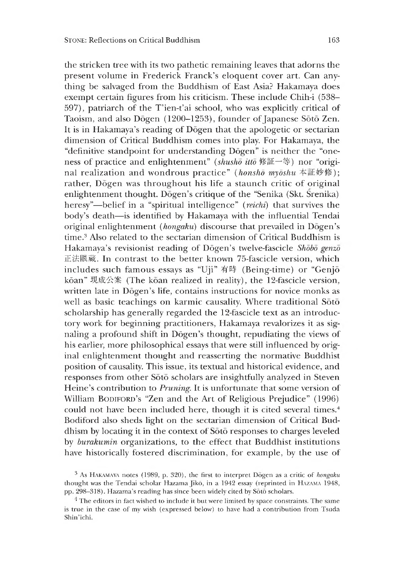the stricken tree with its two pathetic remaining leaves that adorns the present volume in Frederick Franck's eloquent cover art. Can anything be salvaged from the Buddhism of East Asia? Hakamaya does exempt certain figures from his criticism. These include Chih-i (538- 597), patriarch of the T'ien-t'ai school, who was explicitly critical of Taoism, and also Dogen (1200–1253), founder of Japanese Soto Zen. It is in Hakamaya's reading of Dogen that the apologetic or sectarian dimension of Critical Buddhism comes into play. For Hakamaya, the "definitive standpoint for understanding D6gen" is neither the "oneness of practice and enlightenment" (shusho itto 修証一等) nor "original realization and wondrous practice" *(honsho myoshu* 本証妙修); rather, Dogen was throughout his life a staunch critic of original enlightenment thought. Dogen's critique of the "Senika (Skt. Srenika) heresy" belief in a "spiritual intelligence" *(reichi)* that survives the body's death—is identified by Hakamaya with the influential Tendai original enlightenment *(hongaku)* discourse that prevailed in Dogen's time.<sup>3</sup> Also related to the sectarian dimension of Critical Buddhism is Hakamaya's revisionist reading of Dōgen's twelve-fascicle *Shōbō genzō* 正法眼蔵. In contrast to the better known 75-fascicle version, which includes such famous essays as "Uji" 有時 (Being-time) or "Genjō kōan" 現成公案 (The kōan realized in reality), the 12-fascicle version, written late in Dōgen's life, contains instructions for novice monks as well as basic teachings on karmic causality. Where traditional Soto scholarship has generally regarded the 12-fascicle text as an introductory work for beginning practitioners, Hakamaya revalorizes it as signaling a profound shift in Dogen's thought, repudiating the views of his earlier, more philosophical essays that were still influenced by original enliehtenment thought and reasserting the normative Buddhist position of causality. This issue, its textual and historical evidence, and responses from other Soto scholars are insightfully analyzed in Steven Heine's contribution to *Pruning*. It is unfortunate that some version of William BODIFORD's "Zen and the Art of Religious Prejudice" (1996) could not have been included here, though it is cited several times.4 Bodiford also sheds light on the sectarian dimension of Critical Buddhism by locating it in the context of *boto* responses to charges leveled by *burakumin* organizations, to the effect that Buddhist institutions have historically fostered discrimination, for example, by the use of

<sup>3</sup> As **Hakamaya** notes (1989, p. 320), the first to interpret Dogen as a critic of *hongaku* thought was the Tenaai scholar Hazama Jik6,in a 1942 essay (reprinted m **Hazama** 1948, pp. 298-318). Hazama's reading has since been widely cited by Soto scholars.

 $\rm{^4}$  The editors in fact wished to include it but were limited by space constraints. The same is true in the case of my wish (expressed below) to have had a contribution from Tsuda Shin'ichi.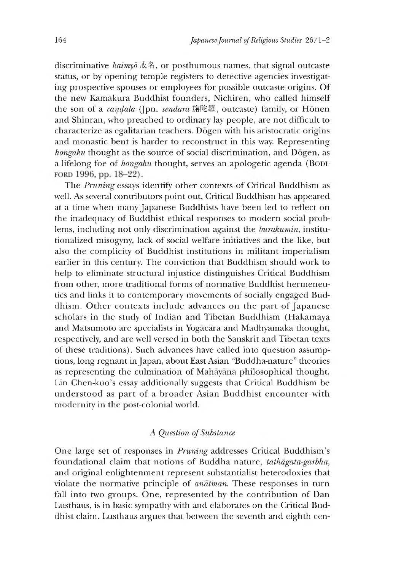discriminative *kaimyd 散名*, or posthumous names, that signal outcaste status, or by opening temple registers to detective agencies investigating prospective spouses or employees for possible outcaste origins. Of the new Kamakura Buddhist founders, Nichiren, who called himself the son of a *candala* (Jpn. *sendara* 旃陀羅, outcaste) family, or Honen and Sninran, who preached to ordinary lay people, are not difficult to characterize as egalitarian teachers. Doeen with his aristocratic origins and monastic bent is harder to reconstruct in this way. Representing *hongaku* thought as the source of social discrimination, and Dogen, as a lifelong foe of *hongaku* thought, serves an apologetic agenda (BODI-FORD 1996, pp. 18-22).

The *Pruning* essays identify other contexts of Critical Buddhism as well. As several contributors point out, Critical Buddhism has appeared at a time when many Japanese Buddhists have been led to reflect on the inadequacy of Buddhist ethical responses to modern social problems, including not only discrimination against the *burakumin,* institutionalized misogyny, lack of social welfare initiatives and the like, but also the complicity of Buddhist institutions in militant imperialism earlier in this century. The conviction that Buddhism should work to help to eliminate structural injustice distinguishes Critical Buddhism from other, more traditional forms of normative Buddhist hermeneutics and links it to contemporary movements of socially engaged Buddhism. Other contexts include advances on the part of Japanese scholars in the study of Indian and Tibetan Buddhism (Hakamaya and Matsumoto are specialists in Yogacara and Madhyamaka thought, respectively, and are well versed in both the Sanskrit and Tibetan texts of these traditions). Such advances have called into question assumptions, long regnant in Japan, about East Asian "Buddha-nature" theories as representing the culmination of Mahayana philosophical thought. Lin Chen-kuo's essay additionally suggests that Critical Buddhism be understood as part of a broader Asian Buddhist encounter with modernity in the post-colonial world.

# *A Question of Substance*

One large set of responses in *Pruning* addresses Critical Buddhism's foundational claim that notions of Buddha nature, *tathāgata-garbha*, and original enlightenment represent substantialist heterodoxies that violate the normative principle of *anatman.* These responses in turn fall into two groups. One, represented by the contribution of Dan Lusthaus, is in basic sympathy with and elaborates on the Critical Buddhist claim. Lusthaus argues that between the seventh and eighth cen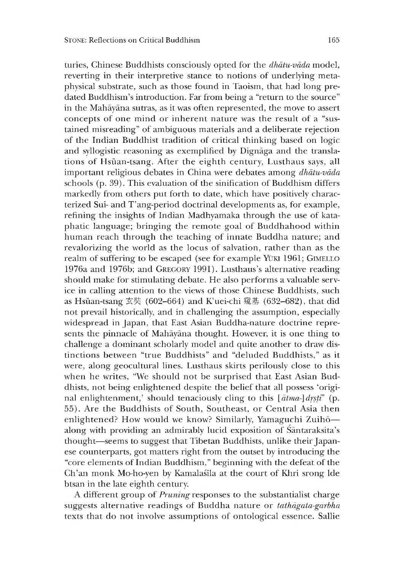turies, Chinese Buddhists consciously opted for the *dhātu-vāda* model, reverting in their interpretive stance to notions of underlying metaphysical substrate, such as those found in Taoism, that had long predated Buddhism's introduction. Far from being a "return to the source" in the Mahayana sutras, as it was often represented, the move to assert concepts of one mind or inherent nature was the result of a "sustained misreading" of ambiguous materials and a deliberate rejection of the Indian Buddhist tradition of critical thinking based on logic and syllogistic reasoning as exemplified by Dignaga and the translations of Hsuan-tsang. After the eighth century, Lusthaus says, all important religious debates in China were debates among *dhātu-vāda* schools (p. 39). This evaluation of the sinification of Buddhism differs markedly from others put forth to date, which have positively characterized Sui- and T'ang-period doctrinal developments as, for example, refining the insights of Indian Madhyamaka through the use of kataphatic language; bringing the remote goal of Buddhahood within human reach through the teaching of innate Buddha nature; and revalorizing the world as the locus of salvation, rather than as the realm of suffering to be escaped (see for example YUKI 1961; GIMELLO 1976a and 1976b; and GREGORY 1991). Lusthaus's alternative reading should make for stimulating debate. He also performs a valuable service in calling attention to the views of those Chinese Buddhists, such as Hsüan-tsang 玄奘 (602-664) and K'uei-chi 窺基 (632-682), that did not prevail historically, and in challenging the assumption, especially widespread in Japan, that East Asian Buddha-nature doctrine represents the pinnacle of Mahayana thought. However, it is one thing to challenge a dominant scholarly model and quite another to draw distinctions between "true Buddhists" and "deluded Buddhists," as it were, along geocultural lines. Lusthaus skirts perilously close to this when he writes, "We should not be surprised that East Asian Buddhists, not being enlightened despite the belief that all possess 'original enlightenment,' should tenaciously cling to this [*atma-] drsti* (p. 55). Are the Buddhists of South, Southeast, or Central Asia then enlightened? How would we know? Similarly, Yamaguchi Zuihōalong with providing an admirably lucid exposition of Santaraksita's thought-seems to suggest that Tibetan Buddhists, unlike their Japanese counterparts, got matters right from the outset by introducing the "core elements of Indian Buddhism," beginning with the defeat of the Ch'an monk Mo-ho-yen by Kamalasila at the court of Khri srong lde btsan in the late eighth century.

A different group of *Pruning'* responses to the substantialist charge suggests alternative readings of Buddha nature or *tathagata-garbha* texts that do not involve assumptions of ontological essence. Sallie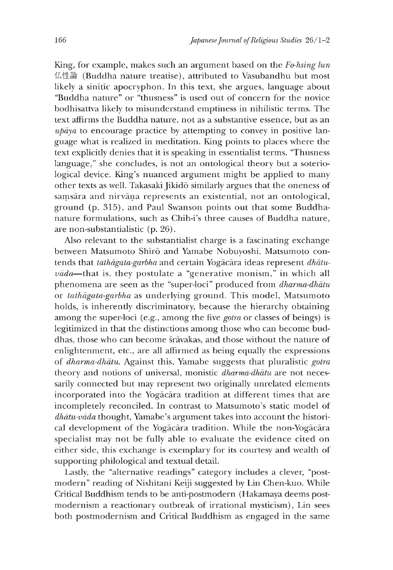King, for example, makes such an argument based on the *Fo-hsing lun* 仏性論 (Buddha nature treatise), attributed to Vasubandhu but most likely a sinitic apocryphon. In this text, she argues, language about "Buddha nature" or "thusness" is used out of concern for the novice bodhisattva likely to misunderstand emptiness in nihilistic terms. The text affirms the Buddha nature, not as a substantive essence, but as an *upaya* to encourage practice by attempting to convey in positive language what is realized in meditation. King points to places where the text explicitly denies that it is speaking in essentialist terms. "Thusness language," she concludes, is not an ontological theory but a soteriological device. King's nuanced argument might be applied to many other texts as well. Takasaki Jikido similarly argues that the oneness of samsara and nirvana represents an existential, not an ontological, ground (p. 315), and Paul Swanson points out that some Buddhanature formulations, such as Chih-i's three causes of Buddha nature, are non-substantialistic (p. 26).

Also relevant to the substantialist charge is a fascinating exchange between Matsumoto Shirō and Yamabe Nobuyoshi. Matsumoto contends that *tathagata-garbha* and certain Yogacara ideas represent *dhatu* $v\bar{a}da$ —that is, they postulate a "generative monism," in which all phenomena are seen as the "super-loci" produced from *dharma-dhatu* or *tathagata-garbha* as underlying ground. This model, Matsumoto holds, is inherently discriminatory, because the hierarchy obtaining among the super-loci (e.e., among the five *gotra* or classes of beings) is legitimized in that the distinctions among those who can become buddhas, those who can become sravakas, and those without the nature of enlightenment, etc., are all affirmed as being equally the expressions of *dharma-dhatu.* Against this, Yamabe suggests that pluralistic *gvtra* theory and notions of universal, monistic *dharma-dhatu* are not necessarily connected but may represent two originally unrelated elements incorporated into the Yogacara tradition at different times that are incompletely reconciled. In contrast to Matsumoto's static model of *dhātu-vāda* thought, Yamabe's argument takes into account the historical development of the Yogacara tradition. While the non-Yogacara specialist may not be fully able to evaluate the evidence cited on either side, this exchange is exemplary for its courtesy and wealth of supporting philological and textual detail.

Lastly, the "alternative readings" category includes a clever, "postmodern" reading of Nishitani Keiji suggested by Lin Chen-kuo. While Critical Buddnism tends to be anti-postmodern (Hakamaya deems postmodernism a reactionary outbreak of irrational mysticism), Lin sees both postmodernism and critical Buddnism as engaged in the same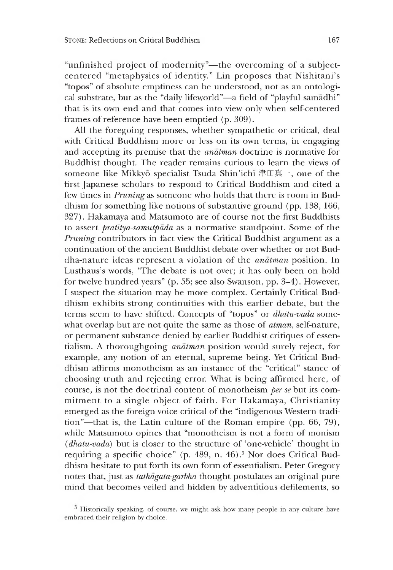"unfinished project of modernity"—the overcoming of a subjectcentered "metaphysics of identity." Lin proposes that Nishitani's "topos" of absolute emptiness can be understood, not as an ontological substrate, but as the "daily lifeworld"—a field of "playful samādhi" that is its own end and that comes into view only when self-centered frames of reference have been emptied (p. 309).

All the foregoing responses, whether sympathetic or critical, deal with Critical Buddhism more or less on its own terms, in engaging and accepting its premise that the *anatman* doctrine is normative for Buddhist thought. The reader remains curious to learn the views of someone like Mikkyō specialist Tsuda Shin'ichi 津田真一, one of the first Japanese scholars to respond to Critical Buddhism and cited a few times in *Pruning'* as someone who holds that there is room in Buddhism for something like notions of substantive ground (pp. 138, 166, 327). Hakamaya and Matsumoto are of course not the first Buddhists to assert *pratitya-samutpada* as a normative standpoint. Some of the *Pruning'* contributors in fact view the Critical Buddhist argument as a continuation of the ancient Buddhist debate over whether or not Buddha-nature ideas represent a violation of the *anatman* position. In Lusthaus's words, "The debate is not over; it has only been on hold for twelve hundred years" (p. 55; see also Swanson, pp. 3-4). However, I suspect the situation may be more complex. Certainly Critical Buddhism exhibits strong continuities with this earlier debate, but the terms seem to have shifted. Concepts of "topos" or *dhātu-vāda* somewhat overlap but are not quite the same as those of *dtman,* self-nature, or permanent substance denied by earlier Buddhist critiques of essentialism. A thoroughgoing *anatman* position would surely reject, for example, any notion of an eternal, supreme being. Yet Critical Buddnism affirms monotheism as an instance of the "critical" stance of choosing truth and rejecting error. What is being affirmed here, of course, is not the doctrinal content of monotheism *per se* but its commitment to a single object of faith. For Hakamaya, Christianity emerged as the foreign voice critical of the "indigenous Western tradi- $\frac{1}{\cosh^2}$ —that is, the Latin culture of the Roman empire (pp. 66, 79), while Matsumoto opines that "monotheism is not a form of monism *(dhātu-vāda)* but is closer to the structure of 'one-vehicle' thought in requiring a specific choice" (p. 489, n. 46).<sup>5</sup> Nor does Critical Buddhism hesitate to put forth its own form of essentialism. Peter Gregory notes that, just as *tathagata-garbha* thought postulates an original pure mind that becomes veiled and hidden by adventitious defilements, so

 $\overline{5}$  Historically speaking, of course, we might ask how many people in any culture have embraced their religion by choice.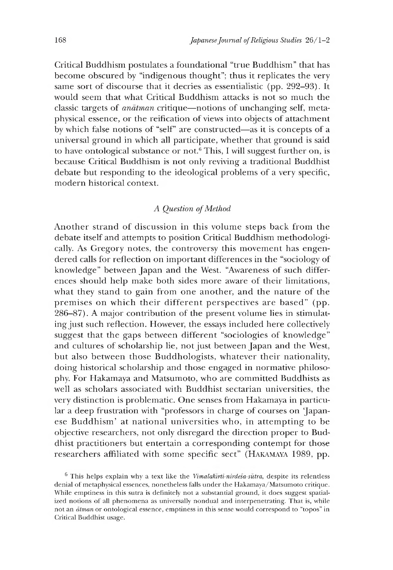Critical Buddhism postulates a foundational "true Buddhism" that has become obscured by "indigenous thought"; thus it replicates the very same sort of discourse that it decries as essentialistic (pp. 292–93). It would seem that what critical Buddhism attacks is not so much the classic targets of *anātman* critique—notions of unchanging self, metaphysical essence, or the reification of views into objects of attachment by which false notions of "self" are constructed—as it is concepts of a universal ground in which all participate, whether that ground is said to have ontological substance or not.<sup>6</sup> This, I will suggest further on, is because Critical Buddhism is not only reviving a traditional Buddhist debate but responding to the ideological problems of a very specific, modern historical context.

## *A Question of Method*

Another strand of discussion in this volume steps back from the debate itself and attempts to position Critical Buddhism methodologically. As Gregory notes, the controversy this movement has engendered calls for reflection on important differences in the "sociology of knowledge" between Japan and the West. "Awareness of such differences should help make both sides more aware of their limitations, what they stand to gain from one another, and the nature of the premises on which their different perspectives are based" (pp. 286-87). A major contribution of the present volume lies in stimulating just such reflection. However, the essays included here collectively suggest that the gaps between different "sociologies of knowledge" and cultures of scholarship lie, not just between Japan and the West, but also between those Buddhologists, whatever their nationality, doing historical scholarship and those engaged in normative philosophy. For Hakamaya and Matsumoto, who are committed Buddhists as well as scholars associated with Buddhist sectarian universities, the very distinction is problematic. One senses from Hakamaya in particular a deep frustration with "professors in charge of courses on 'Japanese Buddhism' at national universities who, in attempting to be objective researchers, not only disregard the direction proper to Buddhist practitioners but entertain a corresponding contempt for those researchers affiliated with some specific sect" (HAKAMAYA 1989, pp.

6 This helps explain why a text like the *Vimalakirti-nirdesa-sutra,* despite its relentless denial of metaphysical essences, nonetheless falls under the Hakamaya/Matsumoto critique. While emptiness in this sutra is definitely not a substantial ground, it does suggest spatialized notions of all phenomena as universally nondual and interpenetrating. That is, while not an *dtman* or **ontological** essence, emptiness in this sense would correspond to "topos" in Critical Buddhist usage.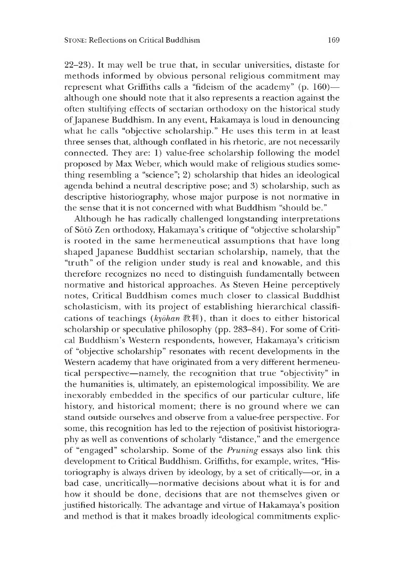22-23). It may well be true that, in secular universities, distaste for methods informed by obvious personal religious commitment may represent what Griffiths calls a "fideism of the academy"  $(p. 160)$  although one should note that it also represents a reaction against the often stultifying effects of sectarian orthodoxy on the historical study of Japanese Buddhism. In any event, Hakamaya is loud in denouncing what he calls "objective scholarship." He uses this term in at least three senses that, although conflated in his rhetoric, are not necessarily connected. They are: 1) value-free scholarship following the model proposed by Max Weber, which would make of religious studies somethine resembling a "science"; 2) scholarship that hides an ideological agenda behind a neutral descriptive pose; and 3) scholarship, such as descriptive historiography, whose major purpose is not normative in the sense that it is not concerned with what Buddhism "should be."

Although he has radically challenged longstanding interpretations of Sōtō Zen orthodoxy, Hakamaya's critique of "objective scholarship" is rooted in the same hermeneutical assumptions that have longshaped Japanese Buddhist sectarian scholarship, namely, that the "truth" of the religion under study is real and knowable, and this therefore recognizes no need to distinguish fundamentally between normative and historical approaches. As Steven Heine perceptively notes, Critical Buddhism comes much closer to classical Buddhist scholasticism, with its project of establishing hierarchical classifications of teachings *(kyōhan* 教判), than it does to either historical scholarship or speculative philosophy (pp. 283-84). For some of Critical Buddhism's Western respondents, however, Hakamaya's criticism of "objective scholarship" resonates with recent developments in the Western academy that have originated from a very different hermeneutical perspective—namely, the recognition that true "objectivity" in the humanities is, ultimately, an epistemological impossibility. We are inexorably embedded in the specifics of our particular culture, life history, and historical moment; there is no ground where we can stand outside ourselves and observe from a value-free perspective. For some, this recognition has led to the rejection of positivist historiography as well as conventions of scholarly "distance," and the emergence of "engaged" scholarship. Some of the *Pruning* essays also link this development to Critical Buddhism. Griffiths, for example, writes, "Historiography is always driven by ideology, by a set of critically-or, in a bad case, uncritically-normative decisions about what it is for and how it should be done, decisions that are not themselves given or justified historically. The advantage and virtue of Hakamaya's position and method is that it makes broadly ideological commitments explic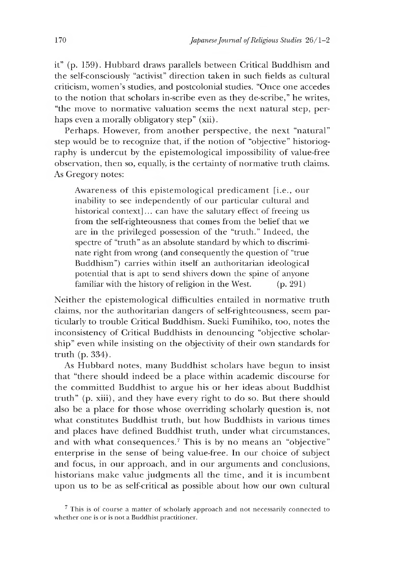it" (p. 159). Hubbard draws parallels between Critical Buddhism and the self-consciously "activist" direction taken in such fields as cultural criticism, women's studies, and postcolonial studies. "Once one accedes to the notion that scholars in-scribe even as they de-scribe," he writes, "the move to normative valuation seems the next natural step, perhaps even a morally obligatory step" (xii).

Perhaps. However, from another perspective, the next "natural" step would be to recognize that, if the notion of "objective" historiography is undercut by the epistemological impossibility of value-free observation, then so, equally, is the certainty of normative truth claims. As Gregory notes:

Awareness of this epistemological predicament [i.e., our inability to see independently of our particular cultural and historical context]... can have the salutary effect of freeing us from the self-righteousness that comes from the belief that we are in the privileged possession of the "truth." Indeed, the spectre of "truth" as an absolute standard by which to discriminate right from wrong (and consequently the question of "true Buddhism") carries within itself an authoritarian ideological potential that is apt to send shivers down the spine of anyone familiar with the history of religion in the West. (p. 291)

Neither the epistemological difficulties entailed in normative truth claims, nor the authoritarian dangers of self-righteousness, seem particularly to trouble Critical Buddhism. Sueki Fumihiko, too, notes the inconsistency of Critical Buddhists in denouncing "objective scholarship" even while insisting on the objectivity of their own standards for truth (p. 334).

As Hubbard notes, many Buddhist scholars have begun to insist that "there should indeed be a place within academic discourse for the committed Buddhist to argue his or her ideas about Buddhist truth" (p. xiii), and they have every right to do so. But there should also be a place for those whose overriding scholarly question is, not what constitutes Buddhist truth, but how Buddhists in various times and places have defined Buddhist truth, under what circumstances, and with what consequences.7 This is by no means an "objective" enterprise in the sense of being value-free. In our choice of subject and focus, in our approach, and in our arguments and conclusions, historians make value judgments all the time, and it is incumbent upon us to be as self-critical as possible about how our own cultural

<sup>&</sup>lt;sup>7</sup> This is of course a matter of scholarly approach and not necessarily connected to whether one is or is not a Buddhist practitioner.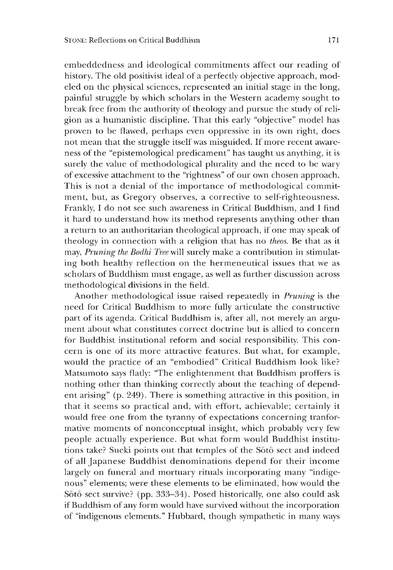embeddedness and ideological commitments affect our reading of history. The old positivist ideal of a perfectly objective approach, modeled on the physical sciences, represented an initial stage in the long, painful struggle by which scholars in the Western academy sought to break free from the authority of theology and pursue the study of religion as a humanistic discipline. That this early "objective" model has proven to be flawed, perhaps even oppressive in its own right, does not mean that the struggle itself was misguided. If more recent awareness of the "epistemological predicament" has taught us anything, it is surely the value of methodological plurality and the need to be wary of excessive attachment to the "rightness" of our own chosen approach. This is not a denial of the importance of methodological commitment, but, as Gregory observes, a corrective to self-righteousness. Frankly, I do not see such awareness in critical Buddhism, and I find it hard to understand how its method represents anything other than a return to an authoritarian theological approach, if one may speak of theology in connection with a religion that has no *theos.* Be that as it may, *Pruning the Bodhi Tree* will surely make a contribution in stimulating both healthy reflection on the hermeneutical issues that we as scholars of Buddhism must engage, as well as further discussion across methodological divisions in the field.

Another methodological issue raised repeatedly in *Pruning* is the need for Critical Buddhism to more fully articulate the constructive part of its agenda. Critical Buddhism is, after all, not merely an argument about what constitutes correct doctrine but is allied to concern for Buddhist institutional reform and social responsibility. This concern is one of its more attractive features. But what, for example, would the practice of an "embodied" Critical Buddhism look like? Matsumoto says flatly: "The enlightenment that Buddhism proffers is nothing other than thinking correctly about the teaching of dependent arising" (p. 249). There is something attractive in this position, in that it seems so practical and, with effort, achievable; certainly it would free one from the tyranny of expectations concerning tranformative moments of nonconceptual insight, which probably very few people actually experience. But what form would Buddhist institutions take? Sueki points out that temples of the Soto sect and indeed of all Japanese Buddhist denominations depend for their income largely on funeral and mortuary rituals incorporating many "indigenous" elements; were these elements to be eliminated, how would the Sōtō sect survive? (pp. 333-34). Posed historically, one also could ask if Buddhism of any form would have survived without the incorporation of "indigenous elements." Hubbard, though sympathetic in many ways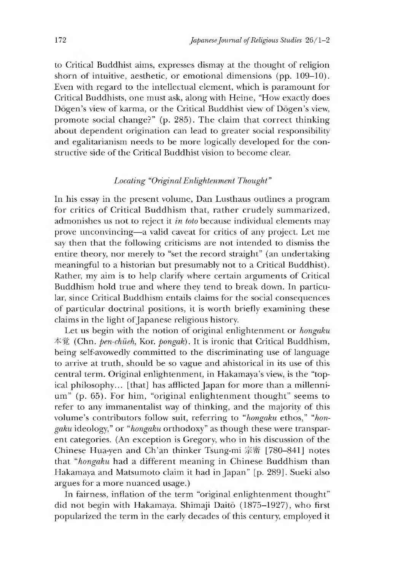to Critical Buddhist aims, expresses dismay at the thought of religion shorn of intuitive, aesthetic, or emotional dimensions (pp. 109-10). Even with regard to the intellectual element, which is paramount for Critical Buddhists, one must ask, along with Heine, "How exactly does Dōgen's view of karma, or the Critical Buddhist view of Dōgen's view, promote social change?" (p. 285). The claim that correct thinking about dependent origination can lead to greater social responsibility and egalitarianism needs to be more logically developed for the constructive side of the Critical Buddhist vision to become clear.

# *Locating "OriginalEnlightenment Thought"*

In his essay in the present volume, Dan Lusthaus outlines a program for critics of Critical Buddhism that, rather crudely summarized, admonishes us not to reject it *in toto* because individual elements may prove unconvincing—a valid caveat for critics of any project. Let me say then that the following criticisms are not intended to dismiss the entire theory, nor merely to "set the record straight" (an undertaking meaningful to a historian but presumably not to a Critical Buddhist). Rather, my aim is to help clarify where certain arguments of Critical Buddhism hold true and where they tend to break down. In particular, since Critical Buddhism entails claims for the social consequences of particular doctrinal positions, it is worth briefly examining these claims in the light of Japanese religious history.

Let us begin with the notion of original enlightenment or *hongaku* 本 覚 (Chn. *pen-chueh,* Kor. *pongak).* It is ironic that Critical Buddhism, being self-avowedly committed to the discriminating use of language to arrive at truth, should be so vague and ahistorical in its use of this central term. Original enlightenment, in Hakamaya's view, is the "topical philosophy... [that] has afflicted Japan for more than a millennium" (p. 65). For him, "original enlightenment thought" seems to refer to any immanentalist way of thinking, and the majority of this volume's contributors follow suit, referring to "hongaku ethos," "hon*gaku* ideology," or *"hongaku* orthodoxy" as though these were transparent categories. (An exception is Gregory, who in his discussion of the Chinese Hua-yen and Ch'an thinker Tsung-mi 示街、[780—841] notes that *"hongaku* had a different meaning in Chinese Buddhism than Hakamaya and Matsumoto claim it had in Japan" [p. 289]. Sueki also argues for a more nuanced usage.)

In fairness, inflation of the term "original enlightenment thought" did not begin with Hakamaya. Shimaji Daito (1875-1927), who first popularized the term in the early decades of this century, employed it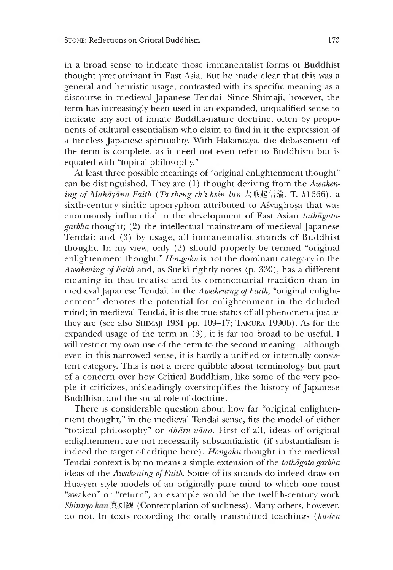in a broad sense to indicate those immanentalist forms of Buddhist thought predominant in East Asia. But he made clear that this was a general and heuristic usage, contrasted with its specific meaning as a discourse in medieval Japanese Tendai. Since Shimaji, however, the term has increasingly been used in an expanded, unqualified sense to indicate any sort of innate Buddha-nature doctrine, often by proponents of cultural essentialism who claim to find in it the expression of a timeless Japanese spirituality. With Hakamaya, the debasement of the term is complete, as it need not even refer to Buddhism but is equated with "topical philosophy. "

At least three possible meanings of "original enlightenment thought" can be distinguished. They are (1) thought deriving from the *Awakening of Mahayana Faith* (*Ta-sheng chi-hsin lun* 大乗起信論,T. #1666),a sixth-century sinitic apocryphon attributed to Asvaghosa that was enormously influential in the development of East Asian *tathagatagarbha* thought; (2) the intellectual mainstream of medieval Japanese Tendai; and (3) by usage, all immanentalist strands of Buddhist thought. In my view, only  $(2)$  should properly be termed "original" enlightenment thought." *Hongaku* is not the dominant category in the *Awakening of Faith* and, as Sueki rightly notes (p. 330), has a different meaning in that treatise and its commentarial tradition than in medieval Japanese Tendai. In the *Awakening of Faith*, "original enlightenment" denotes the potential for enlightenment in the deluded mind; in medieval Tendai, it is the true status of all phenomena just as they are (see also Shimaji 1931 pp. 109-17; Tamura 1990b). As for the expanded usage of the term in  $(3)$ , it is far too broad to be useful. I will restrict my own use of the term to the second meaning—although even in this narrowed sense, it is hardly a unified or internally consistent category. This is not a mere quibble about terminology but part of a concern over how Critical Buddhism, like some of the very people it criticizes, misleadingly oversimplifies the history of Japanese Buddhism and the social role of doctrine.

There is considerable question about how far "original enlightenment thought," in the medieval Tendai sense, fits the model of either "topical philosophy" or *dhātu-vāda*. First of all, ideas of original enlightenment are not necessarily substantialistic (if substantialism is indeed the target of critique here). *Hongaku* thought in the medieval Tendai context is by no means a simple extension of the *tathagata-garbha* ideas of the *Awakening of Faith*. Some of its strands do indeed draw on Hua-yen style models of an originally pure mind to which one must "awaken" or "return"; an example would be the twelfth-century work *Shinnyo kan* 真如観 (Contemplation of suchness). Many others, however, do not. In texts recording the orally transmitted teachings *(kuden*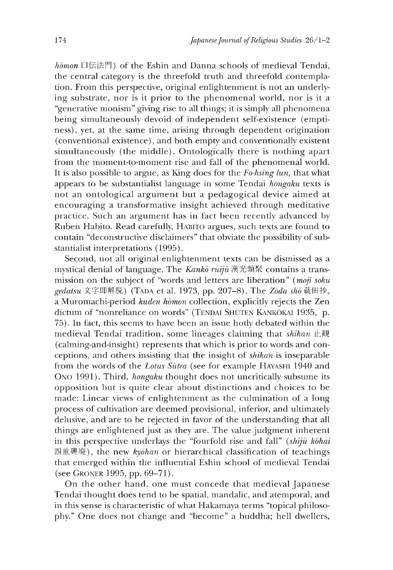homon 口伝法門) of the Eshin and Danna schools of medieval Tendai, the central category is the threefold truth and threefold contemplation. From this perspective, original enlightenment is not an underlying substrate, nor is it prior to the phenomenal world, nor is it a "generative monism" giving rise to all things; it is simply all phenomena being simultaneously devoid of independent self-existence (emptiness), yet, at the same time, arising through dependent origination (conventional existence), and both empty and conventionally existent simultaneously (the middle). Ontologically there is nothing apart from the moment-to-moment rise and fall of the phenomenal world. It is also possible to argue, as King does for the *Fo-hsing lun,* that what appears to be substantialist language in some Tendai *hongaku* texts is not an ontological argument but a pedagogical device aimed at encouraging a transformative insieht achieved through meditative practice. Such an argument has in fact been recently advanced by Ruben Habito. Read carefully, Habito areues, such texts are found to contain "deconstructive disclaimers" that obviate the possibility of substantialist interpretations (1995).

Second, not all original enlightenment texts can be dismissed as a mystical denial of language. The *Kankō ruiju* 漢光類聚 contains a transmission on the subject of "words and letters are liberation" *(moji soku gedatsu* 文字即解脱) (TADA et al. 1973, pp. 207-8). The *Zoda sho* 蔵田抄, a Muromachi-period *kuden homon* collection, explicitly rejects the Zen dictum of "nonreliance on words" (TENDAI SHUTEN KANKOKAI 1935, p. 75).In fact, this seems to have been an issue hotly debated within the medieval Tendai tradition, some lineages claiming that *shikan* 止観 (calmine-and-insight) represents that which is prior to words and conceptions, and others insistine that the insight of *shikan* is inseparable from the words of the *Lotus Sutra* (see for example HAYASHI 1940 and Ono 1991). Third, *hongaku* thought does not uncritically subsume its opposition but is quite clear about distinctions and choices to be made: Linear views of enlightenment as the culmination of a long process of cultivation are deemed provisional, inferior, and ultimately delusive, and are to be rejected in favor of the understanding that all things are enlightened just as they are. The value judgment inherent in this perspective underlays the "fourfold rise and fall" *(shtju kohai* 四直興廃),the new *kydhan* or hierarchical classification of teachings that emerged witnin the influential Eshin school of medieval Tendai (see GRONER 1995, pp. 69-71).

On the other hand, one must concede that medieval Japanese Tendai thought does tend to be spatial, mandalic, and atemporal, and in this sense is characteristic of what Hakamaya terms "topical philosophy." One does not change and "become" a buddha; hell dwellers,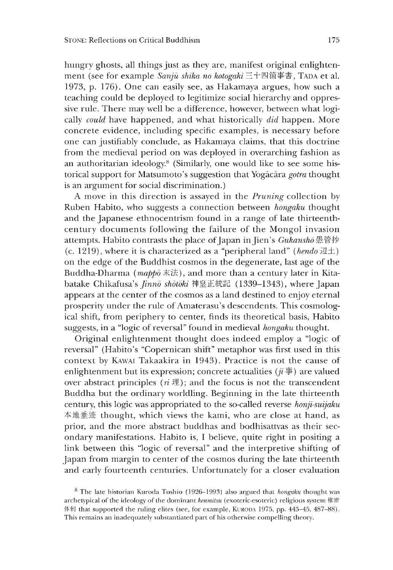hungry ghosts, all things just as they are, manifest original enlightenment (see for example *Sanju shika no kotogaki* 三十四箇事書, TADA et al. 1973 p. 176). One can easily see, as Hakamaya argues, how such a teaching could be deployed to legitimize social hierarchy and oppressive rule. There may well be a difference, however, between what logically *could* have happened, and what historically *did* happen. More concrete evidence, including specific examples, is necessary before one can justifiably conclude, as Hakamaya claims, that this doctrine from the medieval period on was deployed in overarching fashion as an authoritarian ideology.<sup>8</sup> (Similarly, one would like to see some historical support for Matsumoto's suggestion that Yogacara *gotra* thought is an areument for social discrimination.)

A move in this direction is assayed in the *Pruning* collection by Ruben Habito, who suggests a connection between *hongaku* thought and the Japanese ethnocentrism found in a range of late thirteenthcentury documents following the failure of the Mongol invasion attempts. Habito contrasts the place of Japan in Jien's *Gukanshō* 愚管抄 (c.1219),where it is characterized as a "peripheral land" *(hendo* 辺土) on the edge of the Buddhist cosmos in the degenerate, last age of the Buddha-Dharma *(mappo* 末法), and more than a century later in Kitabatake Chikafusa's *Jinno shotoki* 神皇正統記(1339-1343),where Japan appears at the center of the cosmos as a land destined to enjoy eternal prosperity under the rule of Amaterasu's descendents. This cosmological shift, from periphery to center, finds its theoretical basis, Habito suggests, in a "logic of reversal" found in medieval *hongaku* thought.

Original enlightenment thought does indeed employ a "logic of reversal" (Habito's "Copernican shift" metaphor was first used in this context by Kawai Takaakira in 1943). Practice is not the cause of enlightenment but its expression; concrete actualities ( $ii \equiv$ ) are valued over abstract principles  $(n \nequiv 1)$ ; and the focus is not the transcendent Buddha but the ordinary worldling. Beginning in the late thirteenth century, this logic was appropriated to the so-called reverse *honji-smjaku* 本地垂迹 thought, which views the kami,who are close at hand, as prior, and the more abstract buddhas and bodhisattvas as their secondary manifestations. Habito is, I believe, quite right in positing a link between this "logic of reversal" and the interpretive shifting of Japan from margin to center of the cosmos during the late thirteenth and early fourteenth centuries. Unfortunately for a closer evaluation

<sup>8</sup> The late historian Kuroda Toshio (1926-1993) also argued that *hongaku* thought was archetypical of the ideology of the dominant *kenmitsu* (exoteric-esoteric) religious system 権密 体制 that **supported the** ruling elites **(see, for** example, **Kuroda** 1975, **pp.** 443-45, 487-88). This remains an inadequately substantiated part of his otherwise compelling theory.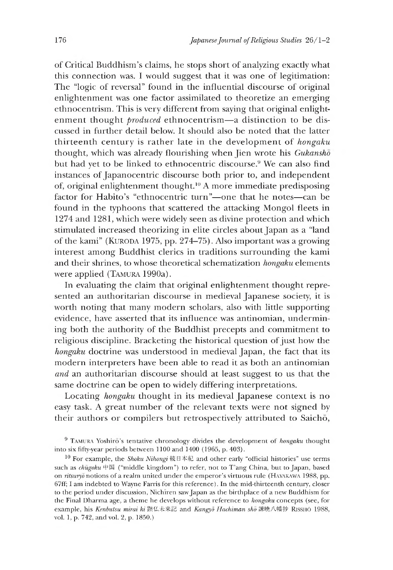of Critical Buddhism's claims, he stops short of analyzing exactly what this connection was. I would suggest that it was one of legitimation: The "logic of reversal" found in the influential discourse of original enlightenment was one factor assimilated to theoretize an emerging ethnocentrism. This is very different from saying that original enlightenment thought *produced* ethnocentrism—a distinction to be discussed in further detail below. It should also be noted that the latter thirteenth century is rather late in the development of *hongaku* thought, which was already flourishing when Jien wrote his *Gukansho* but had yet to be linked to ethnocentric discourse.<sup>9</sup> We can also find instances of Japanocentric discourse both prior to, and independent of, original enlightenment thought.10 A more immediate predisposing factor for Habito's "ethnocentric turn"—one that he notes—can be found in the typhoons that scattered the attacking Mongol fleets in 1274 and 1281,which were widely seen as divine protection and which stimulated increased theorizing in elite circles about Japan as a "land of the kami" (KURODA 1975, pp. 274–75). Also important was a growing interest among Buddhist clerics in traditions surrounding the kami and their shrines, to whose theoretical schematization *hongaku* elements were applied (Tamura 1990a).

In evaluating the claim that original enlightenment thought represented an authoritarian discourse in medieval Japanese society, it is worth noting that many modern scholars, also with little supporting evidence, have asserted that its influence was antinomian, undermining both the authority of the Buddhist precepts and commitment to religious discipline. Bracketing the historical question of just how the *hongaku* doctrine was understood in medieval Japan, the fact that its modern interpreters have been able to read it as both an antinomian *and* an authoritarian discourse should at least suggest to us that the same doctrine can be open to widely differing interpretations.

Locating *hongaku* thought in its medieval Japanese context is no easy task. A great number of the relevant texts were not signed by their authors or compilers but retrospectively attributed to Saichō,

<sup>&</sup>lt;sup>9</sup> TAMURA Yoshiro's tentative chronology divides the development of *hongaku* thought into six fifty-year periods between 1100 and 1400 (1965, p. 403).

<sup>&</sup>lt;sup>10</sup> For example, the *Shoku Nihongi* 続日本紀 and other early "official histories" use terms such as *chugoku* 中国 ("middle kingdom") to refer, not to T'ang China, but to Japan, based on *ritsuryo* notions of a realm united under the emperor's virtuous rule (HAYAKAWA 1988, pp. 67ff; I am indebted to Wayne Farris for this reference). In the mid-thirteenth century, closer to the period under discussion, Nichiren saw Japan as the birthplace of a new Buddhism for the Final Dharma age, a theme he develops without reference to *hongaku* concepts (see, for example, his *Kenbutsu mirai ki* 顕仏未来記 and *Kangyō Hachiman shō* 諌暁八幡抄 RISSHO 1988, vol.1,p. 742, and vol.2, p. 1850.)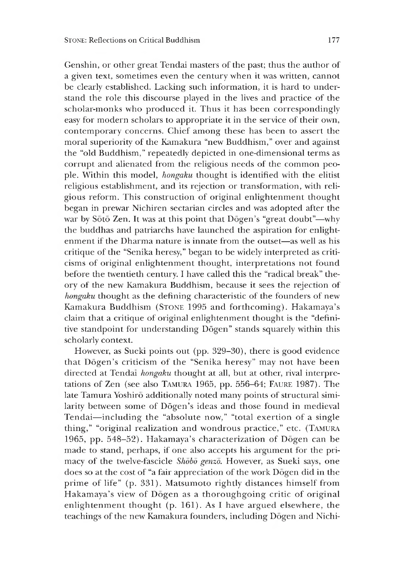Genshin, or other great Tendai masters of the past; thus the author of a given text, sometimes even the century when it was written, cannot be clearly established. Lacking such information, it is hard to understand the role this discourse played in the lives and practice of the scholar-monks who produced it. Thus it has been correspondingly easy for modern scholars to appropriate it in the service of their own, contemporary concerns. Chief among these has been to assert the moral superiority of the Kamakura "new Buddhism," over and against the "old Buddhism," repeatedly depicted in one-dimensional terms as corrupt and alienated from the religious needs of the common people. Within this model, *hongaku* thought is identified with the elitist religious establishment, and its rejection or transformation, with religious reform. This construction of original enlightenment thought began in prewar Nichiren sectarian circles and was adopted after the war by Sōtō Zen. It was at this point that Dōgen's "great doubt"—why the buddhas and patriarchs have launched the aspiration for enlightenment if the Dharma nature is innate from the outset—as well as his critique of the "Senika heresy," began to be widely interpreted as criticisms of original enlightenment thought, interpretations not found before the twentieth century. I have called this the "radical break" theory of the new Kamakura Buddhism, because it sees the rejection of *hongaku* thought as the defining characteristic of the founders of new Kamakura Buddhism (STONE 1995 and forthcoming). Hakamaya's claim that a critique of original enlightenment thought is the "definitive standpoint for understanding D6gen" stands squarely within this scholarly context.

However, as Sueki points out (pp. 329-30), there is good evidence that Dōgen's criticism of the "Senika heresy" may not have been directed at Tendai *hongaku* thought at all, but at other, rival interpretations of Zen (see also Tamura 1965 pp. 556-64; Faure 1987). The late Tamura Yoshiro additionally noted many points of structural similarity between some of Dōgen's ideas and those found in medieval Tendai—including the "absolute now," "total exertion of a single thing," "original realization and wondrous practice," etc. (TAMURA 1965, pp. 548-52). Hakamaya's characterization of Dogen can be made to stand, perhaps, if one also accepts his argument for the primacy of the twelve-fascicle *Shobo genzo.* However, as Sueki says, one does so at the cost of "a fair appreciation of the work Dogen did in the prime of life" (p. 331). Matsumoto rightly distances himself from Hakamaya's view of Dogen as a thoroughgoing critic of original enlightenment thought (p. 161). As I have argued elsewhere, the teachings of the new Kamakura founders, including Dogen and Nichi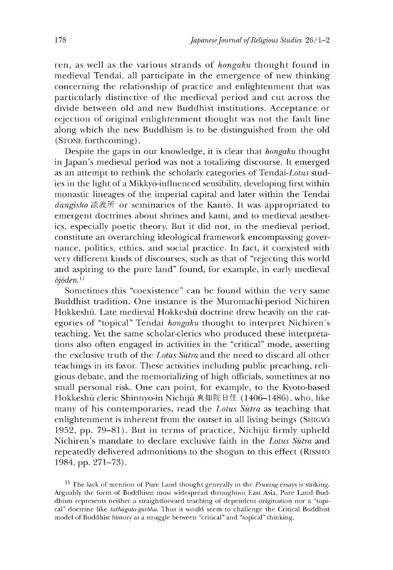ren, as well as the various strands of *hongaku* thought found in medieval Tendai, all participate in the emergence of new thinking concerning the relationship of practice and enlightenment that was particularly distinctive of the medieval period and cut across the divide between old and new Buddhist institutions. Acceptance or rejection of original enlightenment thought was not the fault line along which the new Buddhism is to be distinguished from the old (Stone forthcoming).

Despite the gaps in our knowledge, it is clear that *hongaku* thought in Japan's medieval period was not a totalizing discourse. It emerged as an attempt to rethink the scholarly categories of Tendai-Lotus studies in the light of a Mikkyo-influenced sensibility, developing first within monastic lineaees of the imperial capital and later witnin the Tendai dangisho 談義所 or seminaries of the Kantō. It was appropriated to emergent doctrines about shrines and kami, and to medieval aesthetics, especially poetic theory. But it did not, in the medieval period, constitute an overarching ideological framework encompassing governance, politics, ethics, and social practice. In fact, it coexisted with very different kinds of discourses, such as that of "rejecting this world and aspiring to the pure land" found, for example, in early medieval *djoden.11*

Sometimes this "coexistence" can be found within the very same Buddhist tradition. One instance is the Muromachi-period Nichiren Hokkeshū. Late medieval Hokkeshū doctrine drew heavily on the categories of "topical" Tendai *hongaku* thought to interpret Nichiren's teaching. Yet the same scholar-clerics who produced these interpretations also often engaged in activities in the "critical" mode, asserting the exclusive truth of the *Lotus Sutra* and the need to discard all other teachings in its favor. These activities including public preaching, relieious debate, and the memorializing of high officials, sometimes at no small personal risk. One can point, for example, to the Kyoto-based Hokkeshū cleric Shinnyo-in Nichijū 真如院日住 (1406-1486), who, like many of his contemporaries, read the *Lotus Sūtra* as teaching that enlightenment is inherent from the outset in all living beings (SHIGYO 1952, pp. 79-81). But in terms of practice, Nichiju firmly upheld Nichiren's mandate to declare exclusive faith in the *Lotus Sutra* and repeatedly delivered admonitions to the shogun to this effect (Rissho 1984, pp. 271-73).

**11 The lack of** mention **of Pure Land** thought **generally in the** *Pruninp-* essays **is** striking. Arguably the form of Buddhism most widespread throughout East Asia, Pure Land Buddhism represents neither a straightforward teaching of dependent origination nor a "topical" doctrine like *tathagata-garbha.* Thus it would seem to challenge the Critical Buddhist model of Buddhist history as a struggle between "critical" and "topical" thinking.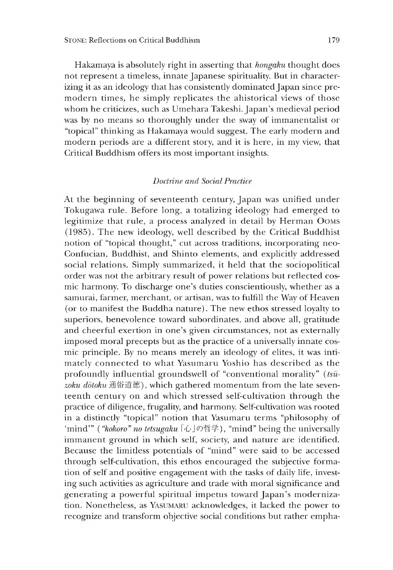Hakamaya is absolutely right in asserting that *hongaku* thought does not represent a timeless, innate Japanese spirituality. But in characterizing it as an ideology that has consistently dominated Japan since premodern times, he simply replicates the ahistorical views of those whom he criticizes, such as Umehara Takeshi. Japan's medieval period was by no means so thoroughly under the sway of immanentalist or "topical" thinking as Hakamaya would suggest. The early modern and modern periods are a different story, and it is here, in my view, that Critical Buddhism offers its most important insights.

## *Doctrine and Social Practice*

At the beginning of seventeenth century, Japan was unified under Tokugawa rule. Before long, a totalizing ideology had emerged to legitimize that rule, a process analyzed in detail by Herman Ooms (1985). The new ideology, well described by the Critical Buddhist notion of "topical thought," cut across traditions, incorporating neo-Confucian, Buddhist, and Shinto elements, and explicitly addressed social relations. Simply summarized, it held that the sociopolitical order was not the arbitrary result of power relations but reflected cosmic harmony. To discharge one's duties conscientiously, whether as a samurai, farmer, merchant, or artisan, was to fulfill the Way of Heaven (or to manifest the Buddha nature). The new ethos stressed loyalty to superiors, benevolence toward subordinates, and above all, gratitude and cheerful exertion in one's given circumstances, not as externally imposed moral precepts but as the practice of a universally innate cosmic principle. By no means merely an ideology of elites, it was intimately connected to what Yasumaru Yoshio has described as the profoundly influential groundswell of "conventional morality" *(tsu*zoku dotoku 通俗道德), which gathered momentum from the late seventeenth century on and which stressed self-cultivation through the practice of diligence, frugality, and harmony. Self-cultivation was rooted in a distinctly "topical" notion that Yasumaru terms "philosophy of 'mind'" ("kokoro" no tetsugaku 「心」の哲学), "mind" being the universally immanent ground in which self, society, and nature are identified. Because the limitless potentials of "mind" were said to be accessed through self-cultivation, this ethos encouraged the subjective formation of self and positive engagement with the tasks of daily life, investing such activities as agriculture and trade with moral significance and generating a powerful spiritual impetus toward Japan's modernization. Nonetheless, as Yasumaru acknowledges, it lacked the power to recognize and transform objective social conditions but rather empha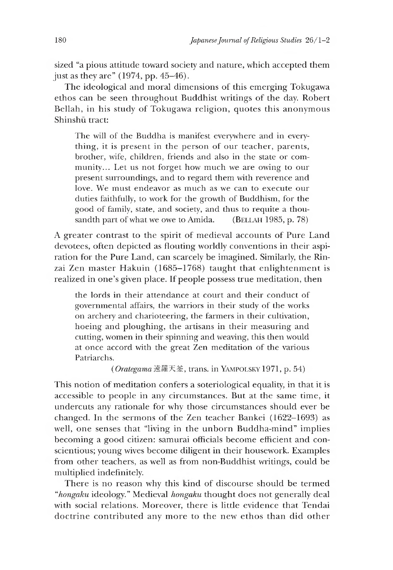sized "a pious attitude toward society and nature, which accepted them just as they are"  $(1974, pp. 45-46)$ .

The ideological and moral dimensions of this emerging Tokugawa ethos can be seen throughout Buddhist writings of the day. Robert Bellah, in his study of Tokugawa religion, quotes this anonymous Shinshū tract:

The will of the Buddha is manifest everywhere and in everything, it is present in the person of our teacher, parents, brother, wife, children, friends and also in the state or community... Let us not forget how much we are owing to our present surroundings, and to regard them with reverence and love. We must endeavor as much as we can to execute our duties faithfully, to work for the growth of Buddhism, for the good of family, state, and society, and thus to requite a thousandth part of what we owe to Amida. (BELLAH 1985, p. 78)

A greater contrast to the spirit of medieval accounts of Pure Land devotees, often depicted as flouting worldly conventions in their aspiration for the Pure Land, can scarcely be imagined. Similarly, the Rinzai Zen master Hakuin (1685-1768) taught that enlightenment is realized in one's given place. If people possess true meditation, then

the lords in their attendance at court and their conduct of governmental affairs, the warriors in their study of the works on archery and charioteering, the farmers in their cultivation, hoeing and ploughing, the artisans in their measuring and cutting, women in their spinning and weaving, this then would at once accord with the great Zen meditation of the various Patriarchs.

(*Orategama* 遠藕天釜,trans. in Yampolsky 1971 p. 54)

This notion of meditation confers a soteriological equality, in that it is accessible to people in any circumstances. But at the same time, it undercuts any rationale for why those circumstances should ever be changed. In the sermons of the Zen teacher Bankei  $(1622-1693)$  as well, one senses that "living in the unborn Buddha-mind" implies becoming a good citizen: samurai officials become efficient and conscientious; young wives become diligent in their housework. Examples from other teachers, as well as from non-Buddhist writings, could be multiplied indefinitely.

There is no reason why this kind of discourse should be termed "hongaku ideology." Medieval hongaku thought does not generally deal with social relations. Moreover, there is little evidence that Tendai doctrine contributed any more to the new ethos than did other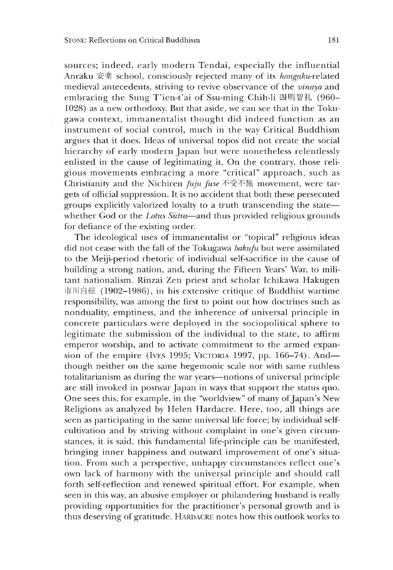sources; indeed, early modern Tendai, especially the influential Anraku 安楽 school, consciously rejected many of its *hongaku-rel^itcd* medieval antecedents, striving to revive observance of the *vinaya* and embracing the Sung T'ien-t'ai of Ssu-ming Chih-li 四明智礼 (960-1028) as a new orthodoxy. But that aside, we can see that in the Tokueawa context, immanentalist thought dia indeed function as an instrument of social control, much in the way critical Buddhism argues that it does. Ideas of universal topos did not create the social hierarchy of early modern Japan but were nonetheless relentlessly enlisted in the cause of legitimating it. On the contrary, those religious movements embracing a more "critical" approach, such as Christianity and the Nichiren *fuju fuse* 不受不施 movement, were targets of official suppression. It is no accident that both these persecuted groups explicitly valorized loyalty to a truth transcending the state whether God or the *Lotus Sutra*—and thus provided religious grounds for defiance of the existing order.

The ideological uses of immanentalist or "topical" religious ideas did not cease with the fall of the Tokugawa *bakufu* but were assimilated to the Meiji-period rhetoric of individual self-sacrifice in the cause of building a strong nation, and, during the Fifteen Years' War, to militant nationalism. Rinzai Zen priest and scholar Ichikawa Hakwen 市川白絃 (1902-1986), in his extensive critique of Buddhist wartime responsibility, was among the first to point out how doctrines such as nonduality, emptiness, and the inherence of universal principle in concrete particulars were deployed in the sociopolitical sphere to legitimate the submission of the individual to the state, to affirm emperor worship, and to activate commitment to the armed expansion of the empire (IVES 1995; VICTORIA 1997, pp. 166-74). Andthough neither on the same hegemonic scale nor with same ruthless totalitarianism as during the war years—notions of universal principle are still invoked in postwar Japan in ways that support the status quo. One sees this, for example, in the "worldview" of many of Japan's New Religions as analyzed by Helen Hardacre. Here, too, all things are seen as participating in the same universal life force; by individual selfcultivation and by striving without complaint in one's given circumstances, it is said, this fundamental life-principle can be manifested, bringing inner happiness and outward improvement of one's situation. From such a perspective, unhappy circumstances reflect one's own lack of harmony with the universal principle and should call forth self-reflection and renewed spiritual effort. For example, when seen in this way, an abusive employer or philandering husband is really providing opportunities for the practitioner's personal growth and is thus deserving of gratitude. HARDACRE notes how this outlook works to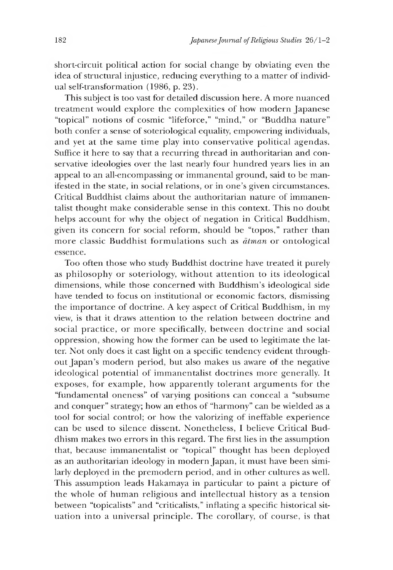short-circuit political action for social change by obviating even the idea of structural injustice, reducing everything to a matter of individual self-transformation (1986, p. 23).

This subject is too vast for detailed discussion here. A more nuanced treatment would explore the complexities of how modern Japanese "topical" notions of cosmic "lifeforce," "mind," or "Buddha nature" both confer a sense of soteriological equality, empowering individuals, and yet at the same time play into conservative political agendas. Suffice it here to say that a recurring thread in authoritarian and conservative ideologies over the last nearly four hundred years lies in an appeal to an all-encompassing or immanental ground, said to be manifested in the state, in social relations, or in one's given circumstances. Critical Buddhist claims about the authoritarian nature of immanentalist thought make considerable sense in this context. This no doubt helps account for why the object of negation in Critical Buddhism, given its concern for social reform, should be "topos," rather than more classic Buddhist formulations such as *dtman* or ontological essence.

Too often those who study Buddhist doctrine have treated it purely as philosophy or soteriology, without attention to its ideological dimensions, while those concerned with Buddhism's ideological side have tended to focus on institutional or economic factors, dismissing the importance of doctrine. A key aspect of Critical Buddhism, in my view, is that it draws attention to the relation between doctrine and social practice, or more specifically, between doctrine and social oppression, showing how the former can be used to legitimate the latter. Not only does it cast light on a specific tendency evident throughout Japan's modern period, but also makes us aware of the negative ideological potential of immanentalist doctrines more generally. It exposes, for example, how apparently tolerant arguments for the "fundamental oneness" of varying positions can conceal a "subsume and conquer" strategy; how an ethos of "harmony" can be wielded as a tool for social control; or how the valorizing of ineffable experience can be used to silence dissent. Nonetheless, I believe critical Buddhism makes two errors in this regard. The first lies in the assumption that, because immanentalist or "topical" thought has been deployed as an authoritarian ideology in modern Japan, it must have been similarly deployed in the premodern period, and in other cultures as well. Ihis assumption leads Hakamaya in particular to paint a picture of the whole of human religious and intellectual history as a tension between "topicalists" and "criticalists," inflating a specific historical situation into a universal principle. The corollary, of course, is that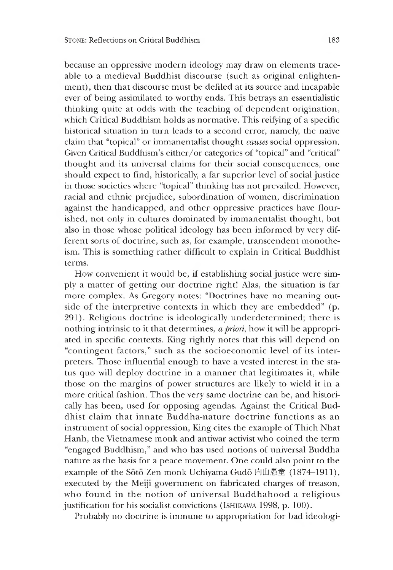because an oppressive modern ideology may draw on elements traceable to a medieval Buddhist discourse (such as original enlightenment), then that discourse must be defiled at its source and incapable ever of being assimilated to worthy ends. This betrays an essentialistic thinking quite at odds with the teaching of dependent origination, which critical Buddhism holds as normative. This reifying of a specific historical situation in turn leads to a second error, namely, the naive claim that "topical" or immanentalist thought *causes* social oppression. Given Critical Buddhism's either/or categories of "topical" and "critical" thought and its universal claims for their social consequences, one should expect to find, historically, a far superior level of social justice in those societies where "topical" thinking has not prevailed. However, racial and ethnic prejudice, subordination of women, discrimination against the handicapped, and other oppressive practices have flourished, not only in cultures dominated by immanentalist thought, but also in those whose political ideology has been informed by very different sorts of doctrine, such as, for example, transcendent monotheism. This is something rather difficult to explain in Critical Buddhist terms.

How convenient it would be, if establishing social justice were simply a matter of getting our doctrine right! Alas, the situation is far more complex. As Gregory notes: "Doctrines have no meaning outside of the interpretive contexts in which they are embedded" (p. 291). Religious doctrine is ideologically underdetermined; there is nothing intrinsic to it that determines, *a priori,* how it will be appropriated in specific contexts. King rightly notes that this will depend on "contingent factors," such as the socioeconomic level of its interpreters. Those influential enough to have a vested interest in the status quo will deploy doctrine in a manner that legitimates it, while those on the margins of power structures are likely to wield it in a more critical fashion. Thus the very same doctrine can be, and historically has been, used for opposing agendas. Against the Critical Buddhist claim that innate Buddha-nature doctrine functions as an instrument of social oppression, King cites the example of Thich Nhat Hanh, the Vietnamese monk and antiwar activist who coined the term "engaged Buddhism ," and who has used notions of universal Buddha nature as the basis for a peace movement. One could also point to the example of the Sōtō Zen monk Uchiyama Gudō 内山愚童 (1874-1911), executed by the Meiji government on fabricated charges of treason, who found in the notion of universal Buddhahood a religious justification for his socialist convictions (ISHIKAWA 1998, p. 100).

Probably no doctrine is immune to appropriation for bad ideologi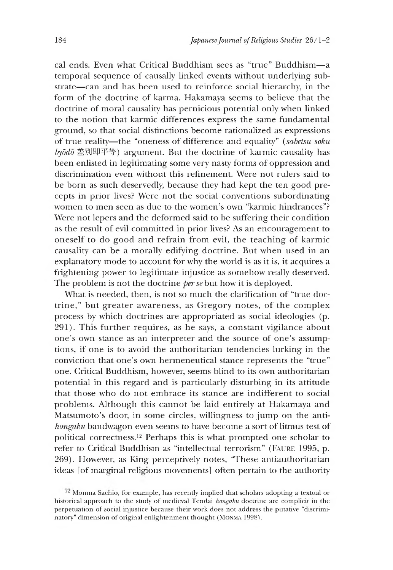cal ends. Even what Critical Buddhism sees as "true" Buddhism—a temporal sequence of causally linked events without underlying substrate—can and has been used to reinforce social hierarchy, in the form of the doctrine of karma. Hakamaya seems to believe that the doctrine of moral causality has pernicious potential only when linked to the notion that karmic differences express the same fundamental ground, so that social distinctions become rationalized as expressions of true reality~the "oneness of difference and equality" *(sabetsu soku byodo* 差別即平等) argument. But the doctrine of karmic causality has been enlisted in legitimating some very nasty forms of oppression and discrimination even without this refinement. Were not rulers said to be born as such deservedly, because they had kept the ten good precepts in prior lives? Were not the social conventions subordinating women to men seen as due to the women's own "karmic hindrances"? Were not lepers and the deformed said to be suffering their condition as the result of evil committed m prior lives? As an encouragement to oneself to do good and refrain from evil, the teaching of karmic causality can be a morally edifying doctrine. But when used in an explanatory mode to account for why the world is as it is, it acquires a frightening power to legitimate injustice as somehow really deserved. 1 he problem is not the doctrine *per se* but how it is deployed.

What is needed, then, is not so much the clarification of "true doctrine," but greater awareness, as Gregory notes, of the complex process by which doctrines are appropriated as social ideologies (p. 291). This further requires, as he says, a constant vigilance about one's own stance as an interpreter and the source of one's assumptions, if one is to avoid the authoritarian tendencies lurking in the conviction that one's own hermeneutical stance represents the "true" one. Critical Buddhism, however, seems blind to its own authoritarian potential in this regard and is particularly disturbing in its attitude that those who do not embrace its stance are indifferent to social problems. Although this cannot be laid entirely at Hakamaya and Matsumoto's door, in some circles, willingness to jump on the anti*hongaku* bandwagon even seems to have become a sort of litmus test of political correctness.12 Perhaps this is what prompted one scholar to refer to Critical Buddhism as "intellectual terrorism" (FAURE 1995, p. 269). However, as King perceptively notes, "These antiauthoritarian ideas [of marginal religious movements] often pertain to the authority

 $12$  Monma Sachio, for example, has recently implied that scholars adopting a textual or historical approach to the study of medieval Tendai *hongaku* doctrine are complicit in the perpetuation of social injustice because their work does not address the putative "discrimi**natory" dimension of original enlightenment thought (Monma 1998).**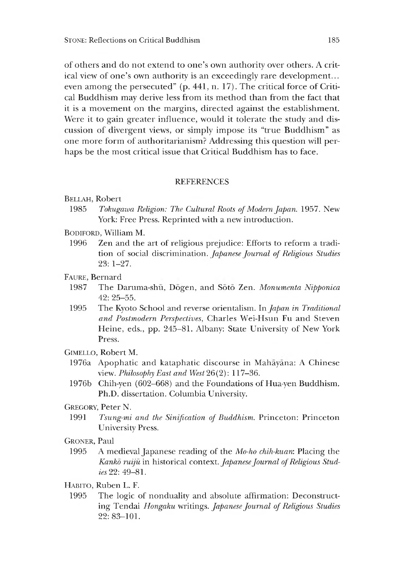of others and do not extend to one's own authority over others. A critical view of one's own authority is an exceedingly rare development... even among the persecuted" (p.  $441$ , n. 17). The critical force of Critical Buddhism may derive less from its method than from the fact that it is a movement on the margins, directed against the establishment. Were it to gain greater influence, would it tolerate the study and discussion of divergent views, or simply impose its "true Buddhism" as one more form of authoritarianism? Addressing this question will perhaps be the most critical issue that Critical Buddhism has to face.

## **REFERENCES**

#### Bellah, Robert

- 1985 *Tokugawa Religion: The Cultural Roots of Modem Japan.* 1957. New York: Free Press. Reprinted with a new introduction.
- Bodiford, William M.
- 1996 Zen and the art of religious prejudice: Efforts to reform a tradition of social discrimination. *Japanese Journal of Religious Studies* 23:1-27.
- Faure, Bernard
	- 1987 The Daruma-shu, Dogen, and Soto Zen. *Monumenta Nipponica* 42: 25-55.
	- 1995 The Kyoto School and reverse orientalism. In *Japan in Traditional and Postmodern Perspectives,* Charles Wei-Hsun Fu and Steven Heine, eds., pp. 245-81. Albany: State University of New York Press.
- Gimello, Robert M.
	- 1976a Apophatic and kataphatic discourse in Mahayana: A Chinese view. *Philosophy East and West* 26(2):117-36.
	- 1976b Chih-yen (602-668) and the Foundations of Hua-yen Buddhism. Ph.D. dissertation. Columbia University.
- Gregory, Peter N.
- 1991 *Tsung-mi and the Sinification of Buddhism.* Princeton: Princeton University Press.
- Groner, Paul
	- 1995 A medieval Japanese reading of the *Mo-ho chih-kuan:* Placing the *Kanko ruiju* in historical context. *Japanese Journal of Religious Studies 22:* 49-81.
- Habito, Ruben L. F.
- 1995 The logic of nonduality and absolute affirmation: Deconstructing Tendai *Hongaku* writings. *Japanese Journal of Religious Studies 22:* 83-101.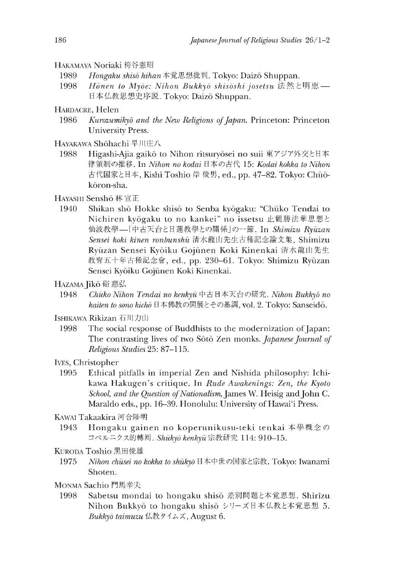#### Hakamaya Noriaki 袴谷憲昭

- 1989 *Hongaku shiso hihan* 本覚思想批判. Tokyo: Daizo Shuppan.
- 1998 *Honen to Myde: Nihon Bukkyd shisdshi josetsu* 法然と明恵一 日本仏教思想史序説. Tokyo: Daizo Shuppan.
- Hardacre, Helen
	- 1986 *Kurozumikyd and the New Religions of Japan.* Princeton: Princeton University Press.
- Hayakawa Sh6hachi 早川庄八
	- 1988 Higashi-Ajia gaiko to Nihon ritsuryosei no suii 東アジア外交と日本 律領制の推移. In *Nihon no kodai* 日本の古代15: *Kodai kokka to Nihon* 古代国家と日本, Kishi Toshio 岸 俊男, ed., pp. 47-82. Tokyo: Chūōkoron-sha.
- HAYASHI Senshō 林 宣正
	- 1940 Shikan shō Hokke shisō to Senba kyōgaku: "Chūko Tendai to Nichiren kyogaku to no kankei" no issetsu 止觀勝法華思想と 仙波教學一「中古天台と日蓮教學との關係」の一節. In *Shimizu Ryuzan* Sensei koki kinen ronbunshu 清水龍山先生古稀記念論文集, Shimizu Ryuzan Sensei Kyōiku Gojunen Koki Kinenkai 清水龍山先生 教育五十年古稀記念會, ed., pp. 230-61. Tokyo: Shimizu Ryuzan Sensei Kyōiku Gojūnen Koki Kinenkai.
- HAZAMA Jikō 硲 慈弘
	- 1948 *Chuko Nihon Tendai no kenkyu* 中古日本天台の研究*. Nihon Bukkyd no kaiten to sono kicho* 日本佛教の開展とその基調,vol.2. Tokyo: Sanseido.
- Ishikawa Rikizan 石川力山
	- 1998 The social response of Buddhists to the modernization of Japan: The contrasting lives of two Soto Zen monks. *Japanese Journal of Religious Studies* 25: 87-115.
- Ives, Christopher
	- 1995 Ethical pitfalls in imperial Zen and Nishida philosophy: Ichikawa Hakugen's critique. In *Rude Awakenings: Zen, the Kyoto* School, and the Question of Nationalism, James W. Heisig and John C. Maraldo eds., pp. 16-39. Honolulu: University of Hawai'i Press.
- Kawai Takaakira 河合涉明
	- 1943 Hongaku gainen no koperunikusu-teki tenkai 本學概念の コペルニクス的轉同*. SMkyd kenkyu宗教研究*114: 910-15.
- KURODA Toshio黒田俊雄
	- 1975 *Nihon chusei no kokka to shukyd* 日本中世の国家と宗教. Tokyo: Iwanami Shoten.
- Monma Sachio門馬幸夫
- 1998 Sabetsu mondai to hongaku shiso 差別問題と本覚思想. Shirizu Nihon Bukkyō to hongaku shisō シリーズ日本仏教と本覚思想 5. *Bukkyd taimuzu* 仏教タイムズ,August 6.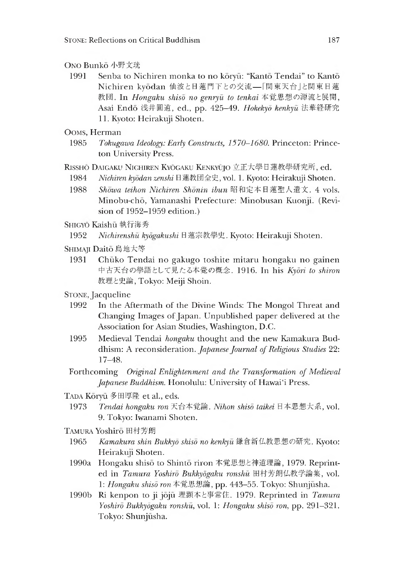#### Ono Bunkō 小野文珖

- 1991 Senba to Nichiren monka to no kōryū: "Kantō Tendai" to Kantō Nichiren kyōdan 仙波と日蓮門下との交流––「関東天台」と関東日蓮 . In *Hongaku shiso no genryu to tenkai*本覚思想の 流と展開, Asai Endō 浅井圓道, ed., pp. 425-49. *Hokekyō kenkyū* 法華経研究 11.Kyoto: Heirakuji Shoten.
- OOMS, Herman
- 1985 *Tokugawa Ideology: Early Constructs, 1570-1680.* Princeton: Princeton University Press.

RISSHO DAIGAKU NICHIREN KYOGAKU KENKYUJO 立正大學日蓮教學研究所, ed.

- 1984 *Nichiren kyodan zenshi* 蓮教団全史,vol.1.Kyoto: Heirakuji Shoten.
- 1988 *Showa teihon Nichiren Shonin ibun* 昭和定本日蓮聖人遺文. 4 vols. Mmobu-cho, Yamanashi Prefecture: Mmobusan Kuonji. (Revision of 1952-1959 edition.)

SHIGYŌ Kaishū 執行海秀

- 1952 *Nichirenshu kyōgakushi* 日蓮宗教學史. Kyoto: Heirakuji Shoten.
- SHIMAJI Daitō 島地大等
	- 1931 Chuko Tendai no gakugo tosnite mitaru hongaku no gainen 中古天台の學語として見たる本覺の概念. 1916. In his *Kyori to shiron* 教理と史論, Tokyo: Meiji Shoin.
- Stone, Jacqueline
	- 1992 In the Aftermath of the Divine Winds: The Mongol Threat and Changing Images of Japan. Unpublished paper delivered at the Association for Asian Studies, Washington, D.C.
	- 1995 Medieval Tendai *hongaku* thought and the new Kamakura Buddhism: A reconsideration. *Japanese Journal of Religious Studies* 22: 17-48.
	- Forthcoming *Original Enlightenment and the Transformation of Medieval Japanese Buddhism.* Honolulu: University of Hawai'i Press.
- TADA Kōryū 多田厚隆 et al., eds.
- 1973 *Tendai hongaku ron* 天台本覚論*. Nihon shiso taikei* 日本思想大系,vol. 9. Tokyo: Iwanami Shoten.
- Tamura Yoshiro 村芳朗
	- 1965 *Kamakura shin Bukkyd shiso no kenkyu* 鎌倉新仏教思想の研究. Kyoto: Heirakuji Shoten.
	- 1990a Hongaku shiso to Shinto riron 本覚思想と神道理論, 1979. Reprinted in *Tamura Yoshirō Bukkyōgaku ronshū* 田村芳朗仏教学論集, vol. 1: Hongaku shiso ron 本覚思想論, pp. 443-55. Tokyo: Shunjusha.
	- 1990b Ri kenpon to ji joju 理顕本と事常住. 1979. Reprinted in *Tamura Yoshiro Bukkydgaku ronshu,* vol.1*: Hongaku shiso ron,* pp. 291-321. Tokyo: Shunjūsha.